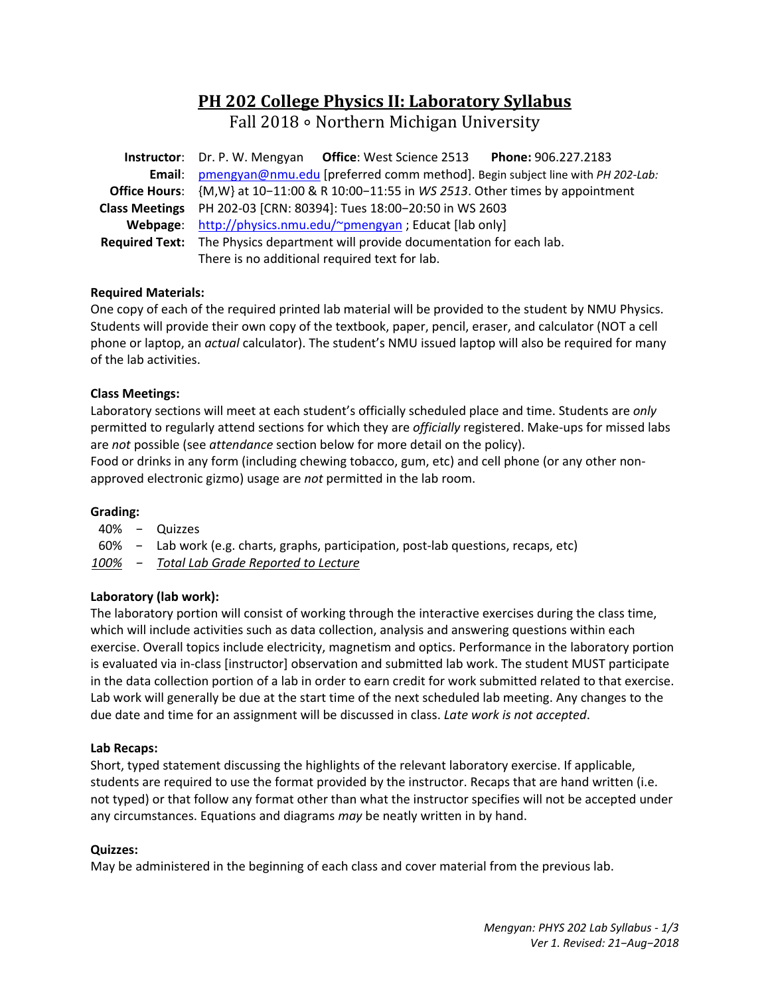# **PH 202 College Physics II: Laboratory Syllabus**

Fall 2018 ∘ Northern Michigan University

| Instructor: Dr. P. W. Mengyan Office: West Science 2513 Phone: 906.227.2183            |  |  |  |  |
|----------------------------------------------------------------------------------------|--|--|--|--|
| Email: pmengyan@nmu.edu [preferred comm method]. Begin subject line with PH 202-Lab:   |  |  |  |  |
| Office Hours: {M,W} at 10-11:00 & R 10:00-11:55 in WS 2513. Other times by appointment |  |  |  |  |
| Class Meetings PH 202-03 [CRN: 80394]: Tues 18:00-20:50 in WS 2603                     |  |  |  |  |
| Webpage: http://physics.nmu.edu/~pmengyan ; Educat [lab only]                          |  |  |  |  |
| <b>Required Text:</b> The Physics department will provide documentation for each lab.  |  |  |  |  |
| There is no additional required text for lab.                                          |  |  |  |  |

## **Required Materials:**

One copy of each of the required printed lab material will be provided to the student by NMU Physics. Students will provide their own copy of the textbook, paper, pencil, eraser, and calculator (NOT a cell phone or laptop, an *actual* calculator). The student's NMU issued laptop will also be required for many of the lab activities.

## **Class Meetings:**

Laboratory sections will meet at each student's officially scheduled place and time. Students are *only* permitted to regularly attend sections for which they are *officially* registered. Make-ups for missed labs are *not* possible (see *attendance* section below for more detail on the policy).

Food or drinks in any form (including chewing tobacco, gum, etc) and cell phone (or any other non‐ approved electronic gizmo) usage are *not* permitted in the lab room.

## **Grading:**

- 40% − Quizzes
- 60% − Lab work (e.g. charts, graphs, participation, post‐lab questions, recaps, etc)
- *100% − Total Lab Grade Reported to Lecture*

## **Laboratory (lab work):**

The laboratory portion will consist of working through the interactive exercises during the class time, which will include activities such as data collection, analysis and answering questions within each exercise. Overall topics include electricity, magnetism and optics. Performance in the laboratory portion is evaluated via in‐class [instructor] observation and submitted lab work. The student MUST participate in the data collection portion of a lab in order to earn credit for work submitted related to that exercise. Lab work will generally be due at the start time of the next scheduled lab meeting. Any changes to the due date and time for an assignment will be discussed in class. *Late work is not accepted*.

## **Lab Recaps:**

Short, typed statement discussing the highlights of the relevant laboratory exercise. If applicable, students are required to use the format provided by the instructor. Recaps that are hand written (i.e. not typed) or that follow any format other than what the instructor specifies will not be accepted under any circumstances. Equations and diagrams *may* be neatly written in by hand.

## **Quizzes:**

May be administered in the beginning of each class and cover material from the previous lab.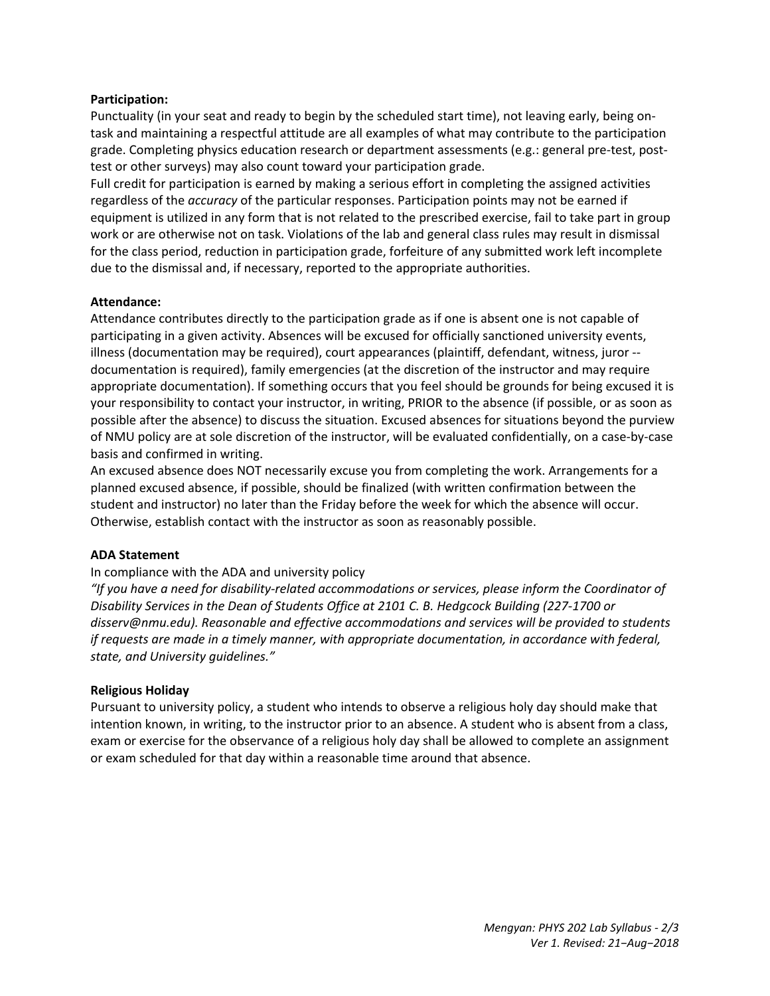## **Participation:**

Punctuality (in your seat and ready to begin by the scheduled start time), not leaving early, being on‐ task and maintaining a respectful attitude are all examples of what may contribute to the participation grade. Completing physics education research or department assessments (e.g.: general pre‐test, post‐ test or other surveys) may also count toward your participation grade.

Full credit for participation is earned by making a serious effort in completing the assigned activities regardless of the *accuracy* of the particular responses. Participation points may not be earned if equipment is utilized in any form that is not related to the prescribed exercise, fail to take part in group work or are otherwise not on task. Violations of the lab and general class rules may result in dismissal for the class period, reduction in participation grade, forfeiture of any submitted work left incomplete due to the dismissal and, if necessary, reported to the appropriate authorities.

### **Attendance:**

Attendance contributes directly to the participation grade as if one is absent one is not capable of participating in a given activity. Absences will be excused for officially sanctioned university events, illness (documentation may be required), court appearances (plaintiff, defendant, witness, juror ‐‐ documentation is required), family emergencies (at the discretion of the instructor and may require appropriate documentation). If something occurs that you feel should be grounds for being excused it is your responsibility to contact your instructor, in writing, PRIOR to the absence (if possible, or as soon as possible after the absence) to discuss the situation. Excused absences for situations beyond the purview of NMU policy are at sole discretion of the instructor, will be evaluated confidentially, on a case‐by‐case basis and confirmed in writing.

An excused absence does NOT necessarily excuse you from completing the work. Arrangements for a planned excused absence, if possible, should be finalized (with written confirmation between the student and instructor) no later than the Friday before the week for which the absence will occur. Otherwise, establish contact with the instructor as soon as reasonably possible.

#### **ADA Statement**

#### In compliance with the ADA and university policy

*"If you have a need for disability‐related accommodations or services, please inform the Coordinator of Disability Services in the Dean of Students Office at 2101 C. B. Hedgcock Building (227‐1700 or disserv@nmu.edu). Reasonable and effective accommodations and services will be provided to students if requests are made in a timely manner, with appropriate documentation, in accordance with federal, state, and University guidelines."* 

#### **Religious Holiday**

Pursuant to university policy, a student who intends to observe a religious holy day should make that intention known, in writing, to the instructor prior to an absence. A student who is absent from a class, exam or exercise for the observance of a religious holy day shall be allowed to complete an assignment or exam scheduled for that day within a reasonable time around that absence.